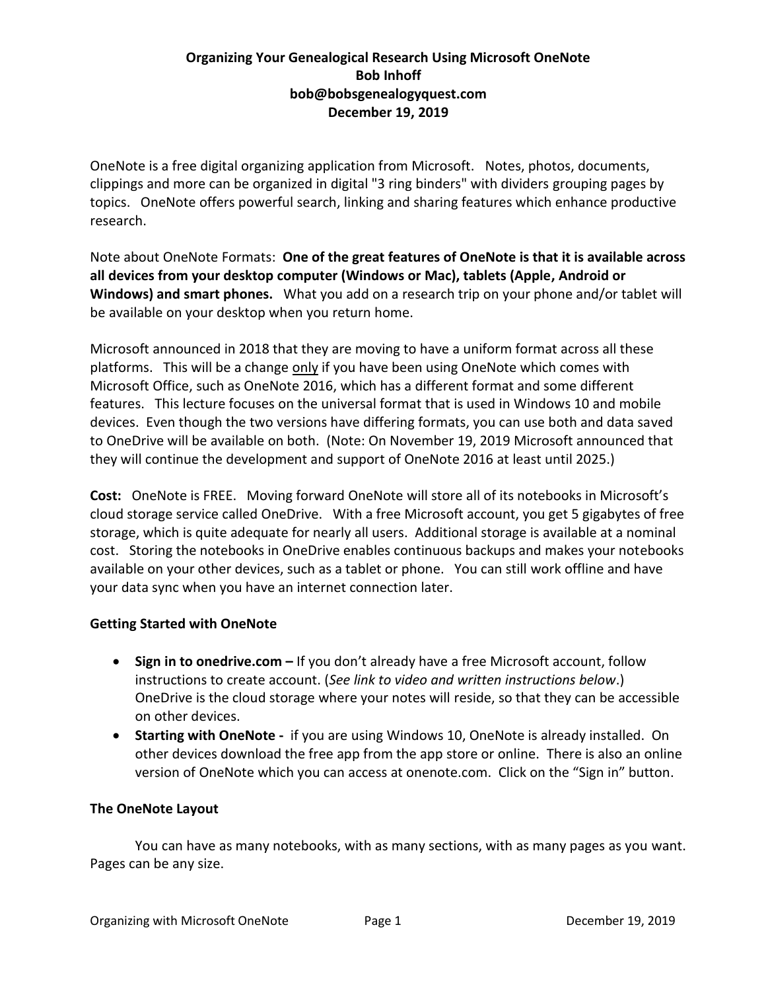# **Organizing Your Genealogical Research Using Microsoft OneNote Bob Inhoff bob@bobsgenealogyquest.com December 19, 2019**

OneNote is a free digital organizing application from Microsoft. Notes, photos, documents, clippings and more can be organized in digital "3 ring binders" with dividers grouping pages by topics. OneNote offers powerful search, linking and sharing features which enhance productive research.

Note about OneNote Formats: **One of the great features of OneNote is that it is available across all devices from your desktop computer (Windows or Mac), tablets (Apple, Android or Windows) and smart phones.** What you add on a research trip on your phone and/or tablet will be available on your desktop when you return home.

Microsoft announced in 2018 that they are moving to have a uniform format across all these platforms. This will be a change only if you have been using OneNote which comes with Microsoft Office, such as OneNote 2016, which has a different format and some different features. This lecture focuses on the universal format that is used in Windows 10 and mobile devices. Even though the two versions have differing formats, you can use both and data saved to OneDrive will be available on both. (Note: On November 19, 2019 Microsoft announced that they will continue the development and support of OneNote 2016 at least until 2025.)

**Cost:** OneNote is FREE. Moving forward OneNote will store all of its notebooks in Microsoft's cloud storage service called OneDrive. With a free Microsoft account, you get 5 gigabytes of free storage, which is quite adequate for nearly all users. Additional storage is available at a nominal cost. Storing the notebooks in OneDrive enables continuous backups and makes your notebooks available on your other devices, such as a tablet or phone. You can still work offline and have your data sync when you have an internet connection later.

# **Getting Started with OneNote**

- **Sign in to onedrive.com –** If you don't already have a free Microsoft account, follow instructions to create account. (*See link to video and written instructions below*.) OneDrive is the cloud storage where your notes will reside, so that they can be accessible on other devices.
- **Starting with OneNote -** if you are using Windows 10, OneNote is already installed. On other devices download the free app from the app store or online. There is also an online version of OneNote which you can access at onenote.com. Click on the "Sign in" button.

# **The OneNote Layout**

You can have as many notebooks, with as many sections, with as many pages as you want. Pages can be any size.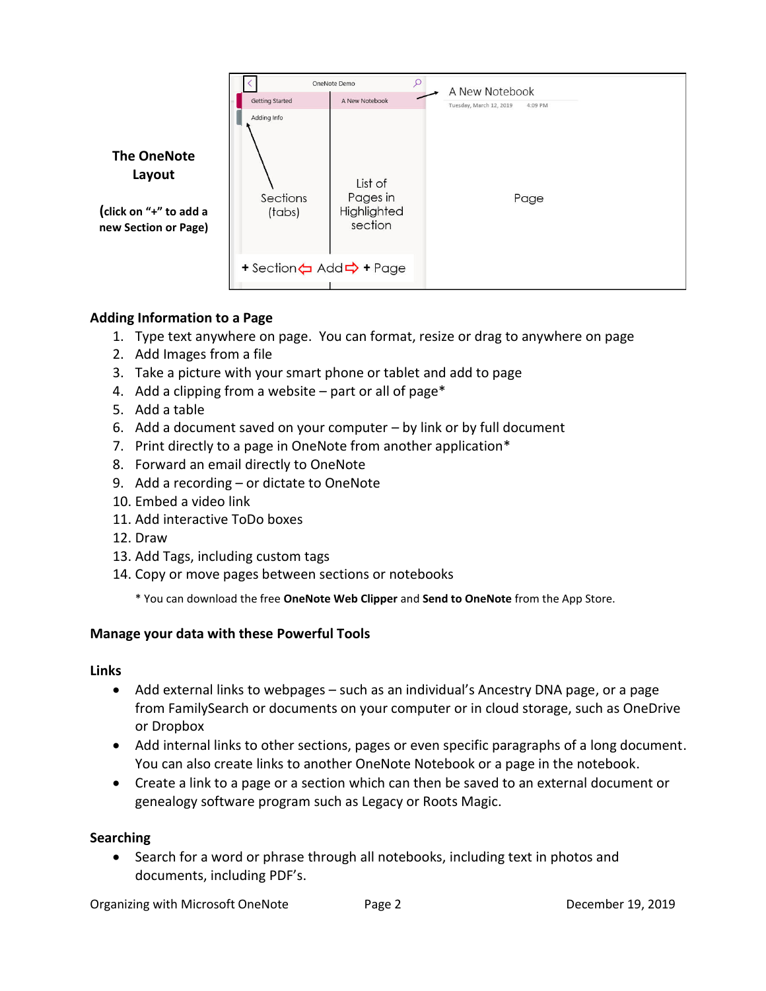

# **Adding Information to a Page**

- 1. Type text anywhere on page. You can format, resize or drag to anywhere on page
- 2. Add Images from a file
- 3. Take a picture with your smart phone or tablet and add to page
- 4. Add a clipping from a website part or all of page\*
- 5. Add a table
- 6. Add a document saved on your computer by link or by full document
- 7. Print directly to a page in OneNote from another application\*
- 8. Forward an email directly to OneNote
- 9. Add a recording or dictate to OneNote
- 10. Embed a video link
- 11. Add interactive ToDo boxes
- 12. Draw
- 13. Add Tags, including custom tags
- 14. Copy or move pages between sections or notebooks
	- \* You can download the free **OneNote Web Clipper** and **Send to OneNote** from the App Store.

# **Manage your data with these Powerful Tools**

#### **Links**

- Add external links to webpages such as an individual's Ancestry DNA page, or a page from FamilySearch or documents on your computer or in cloud storage, such as OneDrive or Dropbox
- Add internal links to other sections, pages or even specific paragraphs of a long document. You can also create links to another OneNote Notebook or a page in the notebook.
- Create a link to a page or a section which can then be saved to an external document or genealogy software program such as Legacy or Roots Magic.

# **Searching**

• Search for a word or phrase through all notebooks, including text in photos and documents, including PDF's.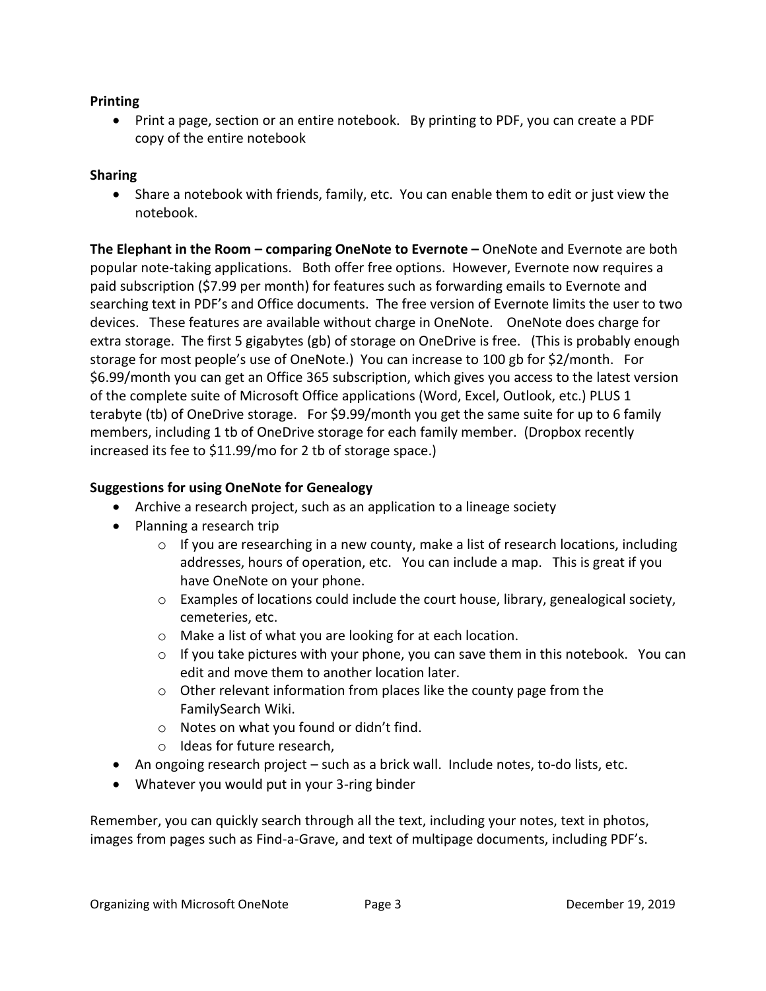#### **Printing**

• Print a page, section or an entire notebook. By printing to PDF, you can create a PDF copy of the entire notebook

## **Sharing**

• Share a notebook with friends, family, etc. You can enable them to edit or just view the notebook.

**The Elephant in the Room – comparing OneNote to Evernote –** OneNote and Evernote are both popular note-taking applications. Both offer free options. However, Evernote now requires a paid subscription (\$7.99 per month) for features such as forwarding emails to Evernote and searching text in PDF's and Office documents. The free version of Evernote limits the user to two devices. These features are available without charge in OneNote. OneNote does charge for extra storage. The first 5 gigabytes (gb) of storage on OneDrive is free. (This is probably enough storage for most people's use of OneNote.) You can increase to 100 gb for \$2/month. For \$6.99/month you can get an Office 365 subscription, which gives you access to the latest version of the complete suite of Microsoft Office applications (Word, Excel, Outlook, etc.) PLUS 1 terabyte (tb) of OneDrive storage. For \$9.99/month you get the same suite for up to 6 family members, including 1 tb of OneDrive storage for each family member. (Dropbox recently increased its fee to \$11.99/mo for 2 tb of storage space.)

## **Suggestions for using OneNote for Genealogy**

- Archive a research project, such as an application to a lineage society
- Planning a research trip
	- $\circ$  If you are researching in a new county, make a list of research locations, including addresses, hours of operation, etc. You can include a map. This is great if you have OneNote on your phone.
	- $\circ$  Examples of locations could include the court house, library, genealogical society, cemeteries, etc.
	- o Make a list of what you are looking for at each location.
	- $\circ$  If you take pictures with your phone, you can save them in this notebook. You can edit and move them to another location later.
	- o Other relevant information from places like the county page from the FamilySearch Wiki.
	- o Notes on what you found or didn't find.
	- o Ideas for future research,
- An ongoing research project such as a brick wall. Include notes, to-do lists, etc.
- Whatever you would put in your 3-ring binder

Remember, you can quickly search through all the text, including your notes, text in photos, images from pages such as Find-a-Grave, and text of multipage documents, including PDF's.